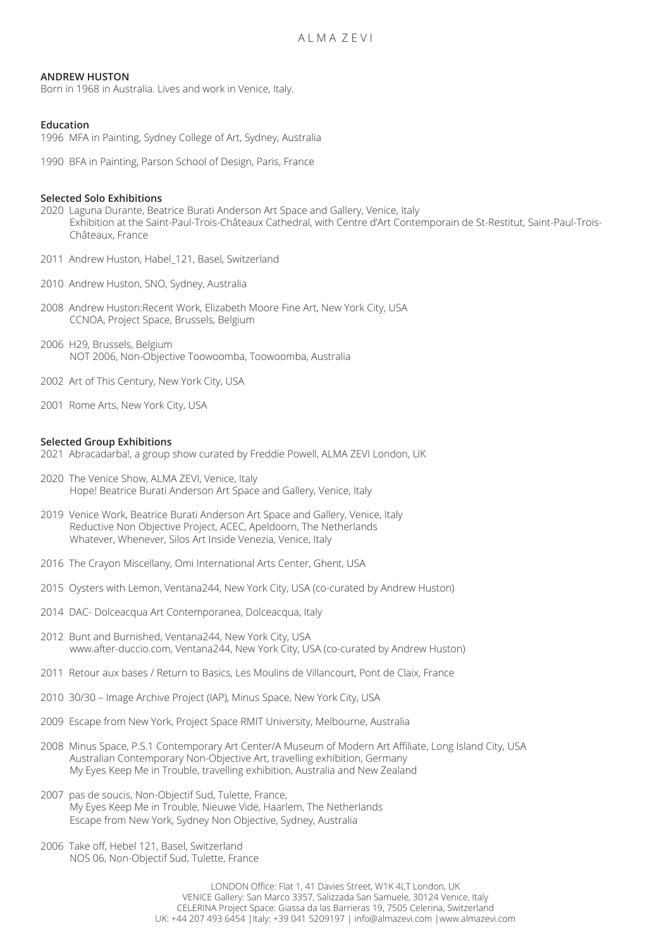### **ANDREW HUSTON**

Born in 1968 in Australia. Lives and work in Venice, Italy.

# **Education**

1996 MFA in Painting, Sydney College of Art, Sydney, Australia

1990 BFA in Painting, Parson School of Design, Paris, France

#### **Selected Solo Exhibitions**

- 2020 Laguna Durante, Beatrice Burati Anderson Art Space and Gallery, Venice, Italy Exhibition at the Saint-Paul-Trois-Châteaux Cathedral, with Centre d'Art Contemporain de St-Restitut, Saint-Paul-Trois- Châteaux, France
- 2011 Andrew Huston, Habel 121, Basel, Switzerland
- 2010 Andrew Huston, SNO, Sydney, Australia
- 2008 Andrew Huston:Recent Work, Elizabeth Moore Fine Art, New York City, USA CCNOA, Project Space, Brussels, Belgium
- 2006 H29, Brussels, Belgium NOT 2006, Non-Objective Toowoomba, Toowoomba, Australia
- 2002 Art of This Century, New York City, USA
- 2001 Rome Arts, New York City, USA

#### **Selected Group Exhibitions**

- 2021 Abracadarba!, a group show curated by Freddie Powell, ALMA ZEVI London, UK
- 2020 The Venice Show, ALMA ZEVI, Venice, Italy Hope! Beatrice Burati Anderson Art Space and Gallery, Venice, Italy
- 2019 Venice Work, Beatrice Burati Anderson Art Space and Gallery, Venice, Italy Reductive Non Objective Project, ACEC, Apeldoorn, The Netherlands Whatever, Whenever, Silos Art Inside Venezia, Venice, Italy
- 2016 The Crayon Miscellany, Omi International Arts Center, Ghent, USA
- 2015 Oysters with Lemon, Ventana244, New York City, USA (co-curated by Andrew Huston)
- 2014 DAC- Dolceacqua Art Contemporanea, Dolceacqua, Italy
- 2012 Bunt and Burnished, Ventana244, New York City, USA www.after-duccio.com, Ventana244, New York City, USA (co-curated by Andrew Huston)
- 2011 Retour aux bases / Return to Basics, Les Moulins de Villancourt, Pont de Claix, France
- 2010 30/30 Image Archive Project (IAP), Minus Space, New York City, USA
- 2009 Escape from New York, Project Space RMIT University, Melbourne, Australia
- 2008 Minus Space, P.S.1 Contemporary Art Center/A Museum of Modern Art Affiliate, Long Island City, USA Australian Contemporary Non-Objective Art, travelling exhibition, Germany My Eyes Keep Me in Trouble, travelling exhibition, Australia and New Zealand
- 2007 pas de soucis, Non-Objectif Sud, Tulette, France, My Eyes Keep Me in Trouble, Nieuwe Vide, Haarlem, The Netherlands Escape from New York, Sydney Non Objective, Sydney, Australia
- 2006 Take off, Hebel 121, Basel, Switzerland NOS 06, Non-Objectif Sud, Tulette, France